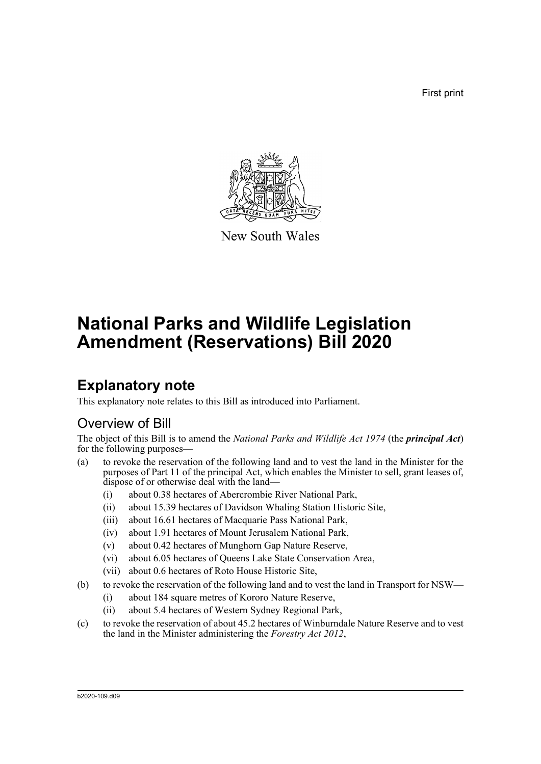First print



New South Wales

# **National Parks and Wildlife Legislation Amendment (Reservations) Bill 2020**

## **Explanatory note**

This explanatory note relates to this Bill as introduced into Parliament.

## Overview of Bill

The object of this Bill is to amend the *National Parks and Wildlife Act 1974* (the *principal Act*) for the following purposes—

- (a) to revoke the reservation of the following land and to vest the land in the Minister for the purposes of Part 11 of the principal Act, which enables the Minister to sell, grant leases of, dispose of or otherwise deal with the land—
	- (i) about 0.38 hectares of Abercrombie River National Park,
	- (ii) about 15.39 hectares of Davidson Whaling Station Historic Site,
	- (iii) about 16.61 hectares of Macquarie Pass National Park,
	- (iv) about 1.91 hectares of Mount Jerusalem National Park,
	- (v) about 0.42 hectares of Munghorn Gap Nature Reserve,
	- (vi) about 6.05 hectares of Queens Lake State Conservation Area,
	- (vii) about 0.6 hectares of Roto House Historic Site,
- (b) to revoke the reservation of the following land and to vest the land in Transport for NSW—
	- (i) about 184 square metres of Kororo Nature Reserve,
	- (ii) about 5.4 hectares of Western Sydney Regional Park,
- (c) to revoke the reservation of about 45.2 hectares of Winburndale Nature Reserve and to vest the land in the Minister administering the *Forestry Act 2012*,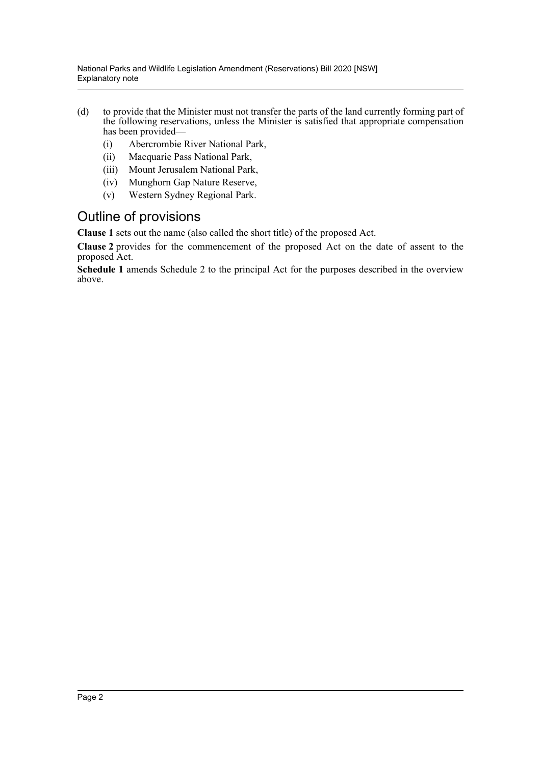- (d) to provide that the Minister must not transfer the parts of the land currently forming part of the following reservations, unless the Minister is satisfied that appropriate compensation has been provided—
	- (i) Abercrombie River National Park,
	- (ii) Macquarie Pass National Park,
	- (iii) Mount Jerusalem National Park,
	- (iv) Munghorn Gap Nature Reserve,
	- (v) Western Sydney Regional Park.

### Outline of provisions

**Clause 1** sets out the name (also called the short title) of the proposed Act.

**Clause 2** provides for the commencement of the proposed Act on the date of assent to the proposed Act.

**Schedule 1** amends Schedule 2 to the principal Act for the purposes described in the overview above.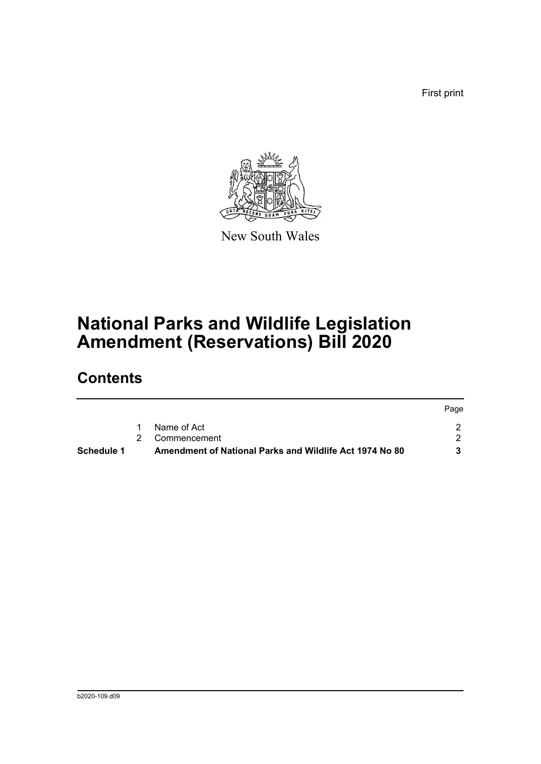First print

Page



New South Wales

# **National Parks and Wildlife Legislation Amendment (Reservations) Bill 2020**

## **Contents**

| <b>Schedule 1</b> | Amendment of National Parks and Wildlife Act 1974 No 80 |       |
|-------------------|---------------------------------------------------------|-------|
|                   | 2 Commencement                                          |       |
|                   | Name of Act                                             |       |
|                   |                                                         | Page. |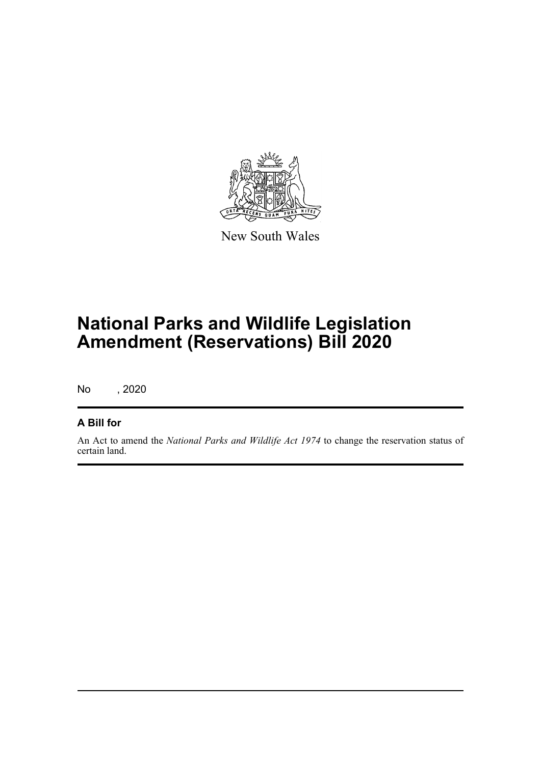

New South Wales

# **National Parks and Wildlife Legislation Amendment (Reservations) Bill 2020**

No , 2020

### **A Bill for**

An Act to amend the *National Parks and Wildlife Act 1974* to change the reservation status of certain land.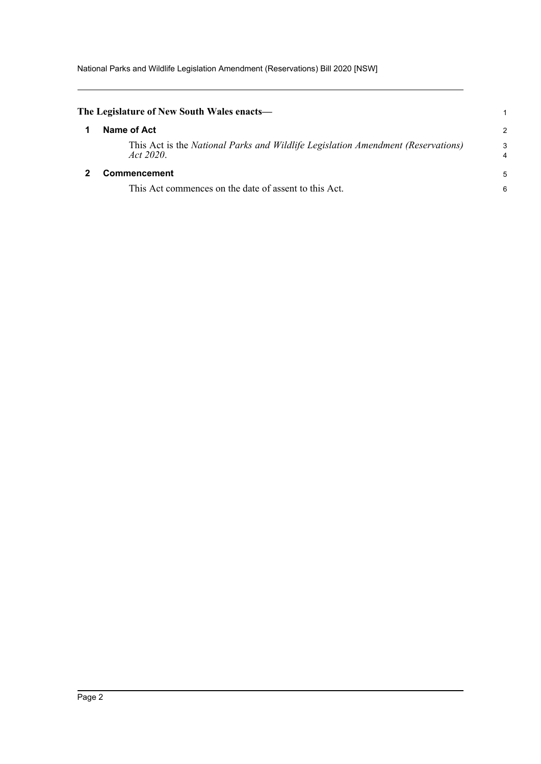National Parks and Wildlife Legislation Amendment (Reservations) Bill 2020 [NSW]

<span id="page-4-1"></span><span id="page-4-0"></span>

| The Legislature of New South Wales enacts—                                                    |                     |
|-----------------------------------------------------------------------------------------------|---------------------|
| Name of Act                                                                                   | $\overline{2}$      |
| This Act is the National Parks and Wildlife Legislation Amendment (Reservations)<br>Act 2020. | 3<br>$\overline{4}$ |
| <b>Commencement</b>                                                                           | 5                   |
| This Act commences on the date of assent to this Act.                                         | 6                   |
|                                                                                               |                     |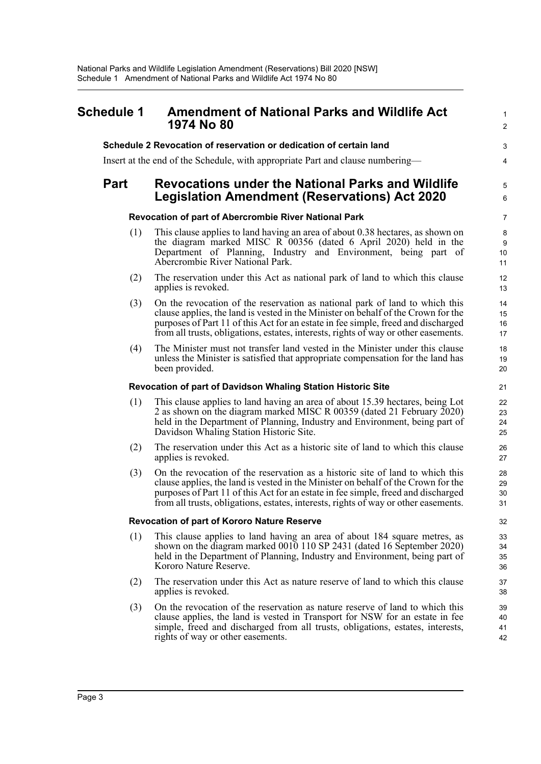<span id="page-5-0"></span>

| <b>Schedule 1</b> | <b>Amendment of National Parks and Wildlife Act</b><br>1974 No 80                                                                                                                                                                                                                                                                              | $\mathbf{1}$<br>$\overline{2}$ |
|-------------------|------------------------------------------------------------------------------------------------------------------------------------------------------------------------------------------------------------------------------------------------------------------------------------------------------------------------------------------------|--------------------------------|
|                   | Schedule 2 Revocation of reservation or dedication of certain land                                                                                                                                                                                                                                                                             | 3                              |
|                   | Insert at the end of the Schedule, with appropriate Part and clause numbering—                                                                                                                                                                                                                                                                 | 4                              |
| <b>Part</b>       | <b>Revocations under the National Parks and Wildlife</b><br>Legislation Amendment (Reservations) Act 2020                                                                                                                                                                                                                                      | 5<br>6                         |
|                   | Revocation of part of Abercrombie River National Park                                                                                                                                                                                                                                                                                          | $\overline{7}$                 |
| (1)               | This clause applies to land having an area of about 0.38 hectares, as shown on<br>the diagram marked MISC R 00356 (dated 6 April 2020) held in the<br>Department of Planning, Industry and Environment, being part of<br>Abercrombie River National Park.                                                                                      | 8<br>9<br>10<br>11             |
| (2)               | The reservation under this Act as national park of land to which this clause<br>applies is revoked.                                                                                                                                                                                                                                            | 12<br>13                       |
| (3)               | On the revocation of the reservation as national park of land to which this<br>clause applies, the land is vested in the Minister on behalf of the Crown for the<br>purposes of Part 11 of this Act for an estate in fee simple, freed and discharged<br>from all trusts, obligations, estates, interests, rights of way or other easements.   | 14<br>15<br>16<br>17           |
| (4)               | The Minister must not transfer land vested in the Minister under this clause<br>unless the Minister is satisfied that appropriate compensation for the land has<br>been provided.                                                                                                                                                              | 18<br>19<br>20                 |
|                   | Revocation of part of Davidson Whaling Station Historic Site                                                                                                                                                                                                                                                                                   | 21                             |
| (1)               | This clause applies to land having an area of about 15.39 hectares, being Lot<br>2 as shown on the diagram marked MISC R 00359 (dated 21 February 2020)<br>held in the Department of Planning, Industry and Environment, being part of<br>Davidson Whaling Station Historic Site.                                                              | 22<br>23<br>24<br>25           |
| (2)               | The reservation under this Act as a historic site of land to which this clause<br>applies is revoked.                                                                                                                                                                                                                                          | 26<br>27                       |
| (3)               | On the revocation of the reservation as a historic site of land to which this<br>clause applies, the land is vested in the Minister on behalf of the Crown for the<br>purposes of Part 11 of this Act for an estate in fee simple, freed and discharged<br>from all trusts, obligations, estates, interests, rights of way or other easements. | 28<br>29<br>30<br>31           |
|                   | <b>Revocation of part of Kororo Nature Reserve</b>                                                                                                                                                                                                                                                                                             | 32                             |
| (1)               | This clause applies to land having an area of about 184 square metres, as<br>shown on the diagram marked 0010 110 SP 2431 (dated 16 September 2020)<br>held in the Department of Planning, Industry and Environment, being part of<br>Kororo Nature Reserve.                                                                                   | 33<br>34<br>35<br>36           |
| (2)               | The reservation under this Act as nature reserve of land to which this clause<br>applies is revoked.                                                                                                                                                                                                                                           | 37<br>38                       |
| (3)               | On the revocation of the reservation as nature reserve of land to which this<br>clause applies, the land is vested in Transport for NSW for an estate in fee<br>simple, freed and discharged from all trusts, obligations, estates, interests,<br>rights of way or other easements.                                                            | 39<br>40<br>41<br>42           |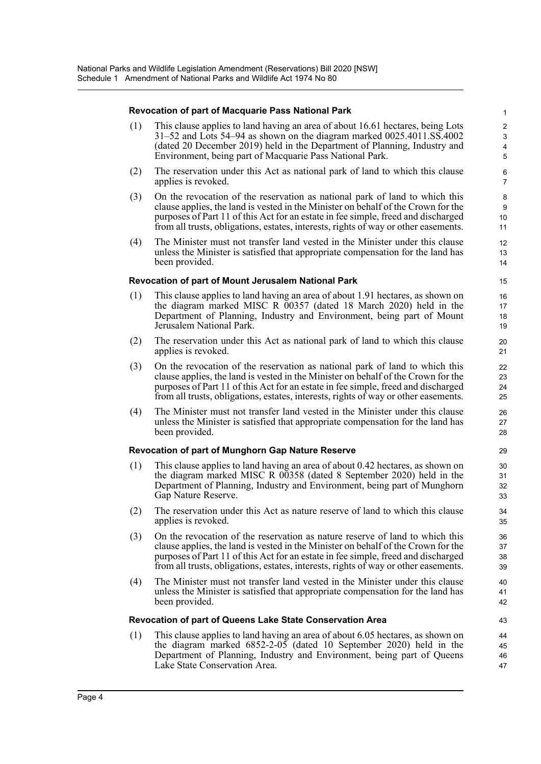#### **Revocation of part of Macquarie Pass National Park**

(1) This clause applies to land having an area of about 16.61 hectares, being Lots 31–52 and Lots 54–94 as shown on the diagram marked 0025.4011.SS.4002 (dated 20 December 2019) held in the Department of Planning, Industry and Environment, being part of Macquarie Pass National Park.

43

- (2) The reservation under this Act as national park of land to which this clause applies is revoked.
- (3) On the revocation of the reservation as national park of land to which this clause applies, the land is vested in the Minister on behalf of the Crown for the purposes of Part 11 of this Act for an estate in fee simple, freed and discharged from all trusts, obligations, estates, interests, rights of way or other easements.
- (4) The Minister must not transfer land vested in the Minister under this clause unless the Minister is satisfied that appropriate compensation for the land has been provided.

#### **Revocation of part of Mount Jerusalem National Park**

- (1) This clause applies to land having an area of about 1.91 hectares, as shown on the diagram marked MISC R 00357 (dated 18 March 2020) held in the Department of Planning, Industry and Environment, being part of Mount Jerusalem National Park.
- (2) The reservation under this Act as national park of land to which this clause applies is revoked.
- (3) On the revocation of the reservation as national park of land to which this clause applies, the land is vested in the Minister on behalf of the Crown for the purposes of Part 11 of this Act for an estate in fee simple, freed and discharged from all trusts, obligations, estates, interests, rights of way or other easements.
- (4) The Minister must not transfer land vested in the Minister under this clause unless the Minister is satisfied that appropriate compensation for the land has been provided.

#### **Revocation of part of Munghorn Gap Nature Reserve**

- (1) This clause applies to land having an area of about 0.42 hectares, as shown on the diagram marked MISC R 00358 (dated 8 September 2020) held in the Department of Planning, Industry and Environment, being part of Munghorn Gap Nature Reserve.
- (2) The reservation under this Act as nature reserve of land to which this clause applies is revoked.
- (3) On the revocation of the reservation as nature reserve of land to which this clause applies, the land is vested in the Minister on behalf of the Crown for the purposes of Part 11 of this Act for an estate in fee simple, freed and discharged from all trusts, obligations, estates, interests, rights of way or other easements.
- (4) The Minister must not transfer land vested in the Minister under this clause unless the Minister is satisfied that appropriate compensation for the land has been provided.

#### **Revocation of part of Queens Lake State Conservation Area**

(1) This clause applies to land having an area of about 6.05 hectares, as shown on the diagram marked  $6852-2-05$  (dated 10 September 2020) held in the Department of Planning, Industry and Environment, being part of Queens Lake State Conservation Area.  $\Lambda$ 45 46 47